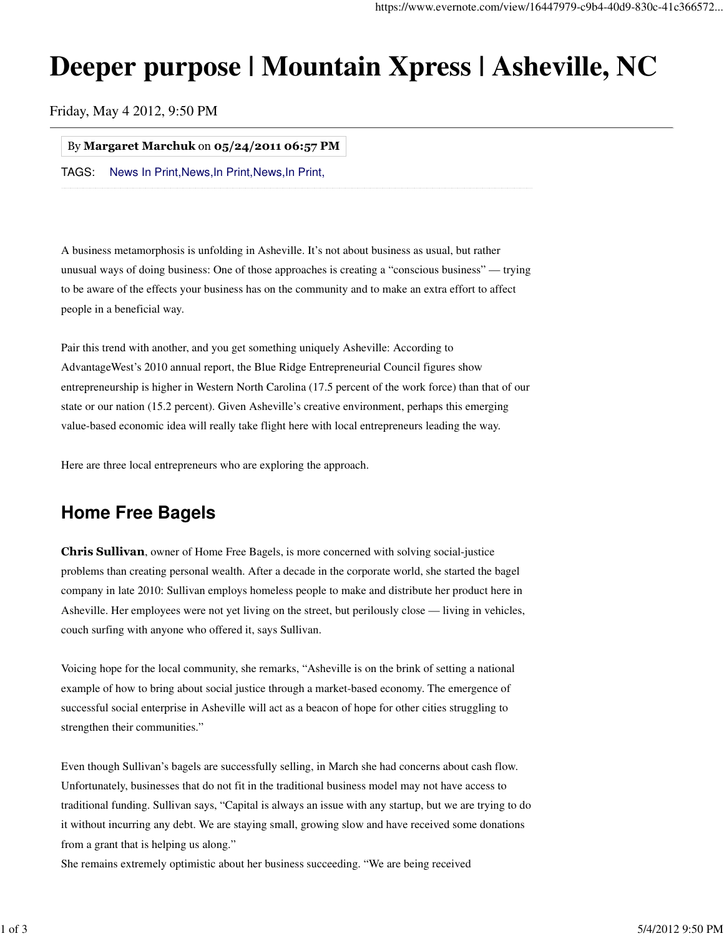# **Deeper purpose | Mountain Xpress | Asheville, NC**

Friday, May 4 2012, 9:50 PM

#### By Margaret Marchuk on 05/24/2011 06:57 PM

TAGS: News In Print, News, In Print, News, In Print,

A business metamorphosis is unfolding in Asheville. It's not about business as usual, but rather unusual ways of doing business: One of those approaches is creating a "conscious business" — trying to be aware of the effects your business has on the community and to make an extra effort to affect people in a beneficial way.

Pair this trend with another, and you get something uniquely Asheville: According to AdvantageWest's 2010 annual report, the Blue Ridge Entrepreneurial Council figures show entrepreneurship is higher in Western North Carolina (17.5 percent of the work force) than that of our state or our nation (15.2 percent). Given Asheville's creative environment, perhaps this emerging value-based economic idea will really take flight here with local entrepreneurs leading the way.

Here are three local entrepreneurs who are exploring the approach.

# **Home Free Bagels**

Chris Sullivan, owner of Home Free Bagels, is more concerned with solving social-justice problems than creating personal wealth. After a decade in the corporate world, she started the bagel company in late 2010: Sullivan employs homeless people to make and distribute her product here in Asheville. Her employees were not yet living on the street, but perilously close — living in vehicles, couch surfing with anyone who offered it, says Sullivan.

Voicing hope for the local community, she remarks, "Asheville is on the brink of setting a national example of how to bring about social justice through a market-based economy. The emergence of successful social enterprise in Asheville will act as a beacon of hope for other cities struggling to strengthen their communities."

Even though Sullivan's bagels are successfully selling, in March she had concerns about cash flow. Unfortunately, businesses that do not fit in the traditional business model may not have access to traditional funding. Sullivan says, "Capital is always an issue with any startup, but we are trying to do it without incurring any debt. We are staying small, growing slow and have received some donations from a grant that is helping us along."

She remains extremely optimistic about her business succeeding. "We are being received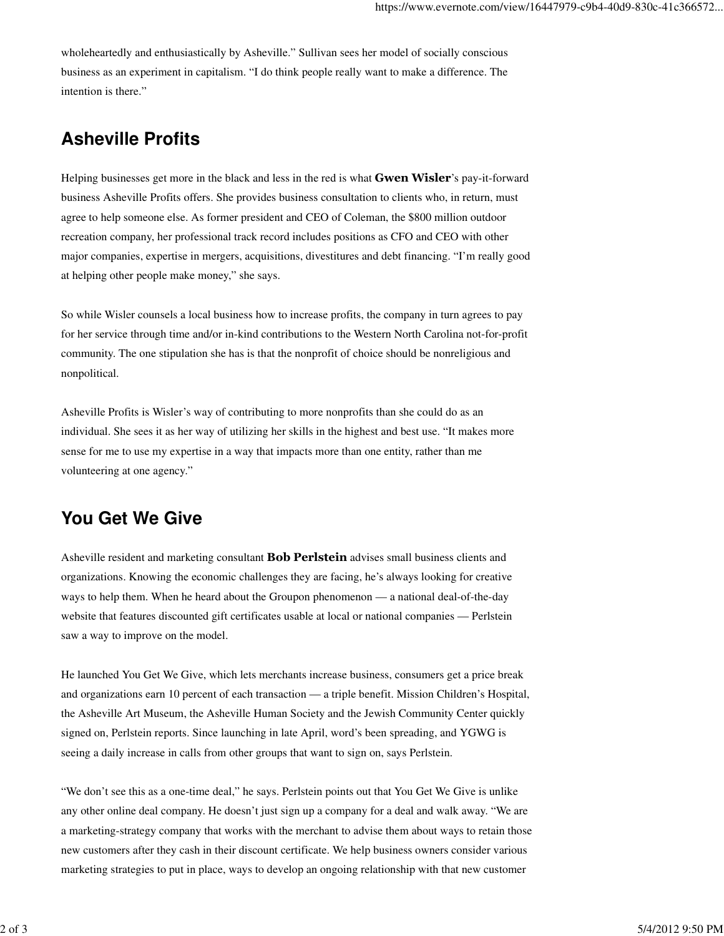wholeheartedly and enthusiastically by Asheville." Sullivan sees her model of socially conscious business as an experiment in capitalism. "I do think people really want to make a difference. The intention is there."

### **Asheville Profits**

Helping businesses get more in the black and less in the red is what **Gwen Wisler'**s pay-it-forward business Asheville Profits offers. She provides business consultation to clients who, in return, must agree to help someone else. As former president and CEO of Coleman, the \$800 million outdoor recreation company, her professional track record includes positions as CFO and CEO with other major companies, expertise in mergers, acquisitions, divestitures and debt financing. "I'm really good at helping other people make money," she says.

So while Wisler counsels a local business how to increase profits, the company in turn agrees to pay for her service through time and/or in-kind contributions to the Western North Carolina not-for-profit community. The one stipulation she has is that the nonprofit of choice should be nonreligious and nonpolitical.

Asheville Profits is Wisler's way of contributing to more nonprofits than she could do as an individual. She sees it as her way of utilizing her skills in the highest and best use. "It makes more sense for me to use my expertise in a way that impacts more than one entity, rather than me volunteering at one agency."

## **You Get We Give**

Asheville resident and marketing consultant **Bob Perlstein** advises small business clients and organizations. Knowing the economic challenges they are facing, he's always looking for creative ways to help them. When he heard about the Groupon phenomenon — a national deal-of-the-day website that features discounted gift certificates usable at local or national companies — Perlstein saw a way to improve on the model.

He launched You Get We Give, which lets merchants increase business, consumers get a price break and organizations earn 10 percent of each transaction — a triple benefit. Mission Children's Hospital, the Asheville Art Museum, the Asheville Human Society and the Jewish Community Center quickly signed on, Perlstein reports. Since launching in late April, word's been spreading, and YGWG is seeing a daily increase in calls from other groups that want to sign on, says Perlstein.

"We don't see this as a one-time deal," he says. Perlstein points out that You Get We Give is unlike any other online deal company. He doesn't just sign up a company for a deal and walk away. "We are a marketing-strategy company that works with the merchant to advise them about ways to retain those new customers after they cash in their discount certificate. We help business owners consider various marketing strategies to put in place, ways to develop an ongoing relationship with that new customer